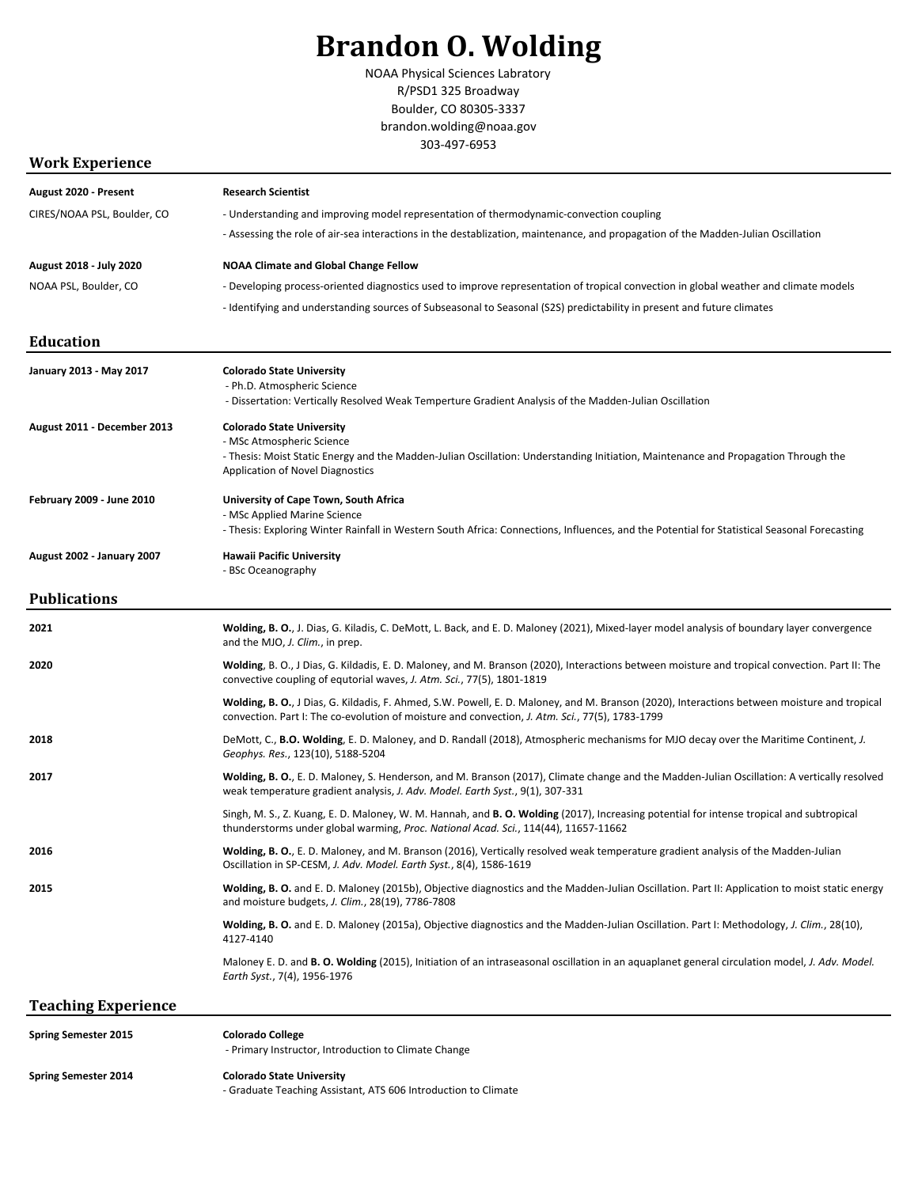# **Brandon O. Wolding**

NOAA Physical Sciences Labratory R/PSD1 325 Broadway Boulder, CO 80305-3337 brandon.wolding@noaa.gov 303-497-6953

### **Work Experience**

| August 2020 - Present            | <b>Research Scientist</b>                                                                                                                                                                                                                       |
|----------------------------------|-------------------------------------------------------------------------------------------------------------------------------------------------------------------------------------------------------------------------------------------------|
| CIRES/NOAA PSL, Boulder, CO      | - Understanding and improving model representation of thermodynamic-convection coupling                                                                                                                                                         |
|                                  | - Assessing the role of air-sea interactions in the destablization, maintenance, and propagation of the Madden-Julian Oscillation                                                                                                               |
| August 2018 - July 2020          | <b>NOAA Climate and Global Change Fellow</b>                                                                                                                                                                                                    |
| NOAA PSL, Boulder, CO            | - Developing process-oriented diagnostics used to improve representation of tropical convection in global weather and climate models                                                                                                            |
|                                  | - Identifying and understanding sources of Subseasonal to Seasonal (S2S) predictability in present and future climates                                                                                                                          |
| <b>Education</b>                 |                                                                                                                                                                                                                                                 |
| January 2013 - May 2017          | <b>Colorado State University</b><br>- Ph.D. Atmospheric Science<br>- Dissertation: Vertically Resolved Weak Temperture Gradient Analysis of the Madden-Julian Oscillation                                                                       |
| August 2011 - December 2013      | <b>Colorado State University</b><br>- MSc Atmospheric Science<br>- Thesis: Moist Static Energy and the Madden-Julian Oscillation: Understanding Initiation, Maintenance and Propagation Through the<br>Application of Novel Diagnostics         |
| <b>February 2009 - June 2010</b> | University of Cape Town, South Africa<br>- MSc Applied Marine Science<br>- Thesis: Exploring Winter Rainfall in Western South Africa: Connections, Influences, and the Potential for Statistical Seasonal Forecasting                           |
| August 2002 - January 2007       | <b>Hawaii Pacific University</b><br>- BSc Oceanography                                                                                                                                                                                          |
| <b>Publications</b>              |                                                                                                                                                                                                                                                 |
| 2021                             | Wolding, B. O., J. Dias, G. Kiladis, C. DeMott, L. Back, and E. D. Maloney (2021), Mixed-layer model analysis of boundary layer convergence<br>and the MJO, J. Clim., in prep.                                                                  |
| 2020                             | Wolding, B. O., J Dias, G. Kildadis, E. D. Maloney, and M. Branson (2020), Interactions between moisture and tropical convection. Part II: The<br>convective coupling of equtorial waves, J. Atm. Sci., 77(5), 1801-1819                        |
|                                  | Wolding, B. O., J Dias, G. Kildadis, F. Ahmed, S.W. Powell, E. D. Maloney, and M. Branson (2020), Interactions between moisture and tropical<br>convection. Part I: The co-evolution of moisture and convection, J. Atm. Sci., 77(5), 1783-1799 |
|                                  |                                                                                                                                                                                                                                                 |
| 2018                             | DeMott, C., B.O. Wolding, E. D. Maloney, and D. Randall (2018), Atmospheric mechanisms for MJO decay over the Maritime Continent, J.<br>Geophys. Res., 123(10), 5188-5204                                                                       |
| 2017                             | Wolding, B. O., E. D. Maloney, S. Henderson, and M. Branson (2017), Climate change and the Madden-Julian Oscillation: A vertically resolved<br>weak temperature gradient analysis, J. Adv. Model. Earth Syst., 9(1), 307-331                    |
|                                  | Singh, M. S., Z. Kuang, E. D. Maloney, W. M. Hannah, and <b>B. O. Wolding</b> (2017), Increasing potential for intense tropical and subtropical<br>thunderstorms under global warming, Proc. National Acad. Sci., 114(44), 11657-11662          |
| 2016                             | Wolding, B. O., E. D. Maloney, and M. Branson (2016), Vertically resolved weak temperature gradient analysis of the Madden-Julian<br>Oscillation in SP-CESM, J. Adv. Model. Earth Syst., 8(4), 1586-1619                                        |
| 2015                             | Wolding, B. O. and E. D. Maloney (2015b), Objective diagnostics and the Madden-Julian Oscillation. Part II: Application to moist static energy<br>and moisture budgets, J. Clim., 28(19), 7786-7808                                             |
|                                  | Wolding, B. O. and E. D. Maloney (2015a), Objective diagnostics and the Madden-Julian Oscillation. Part I: Methodology, J. Clim., 28(10),<br>4127-4140                                                                                          |
|                                  | Maloney E. D. and <b>B. O. Wolding</b> (2015), Initiation of an intraseasonal oscillation in an aquaplanet general circulation model, J. Adv. Model.<br>Earth Syst., 7(4), 1956-1976                                                            |
| <b>Teaching Experience</b>       |                                                                                                                                                                                                                                                 |

- Primary Instructor, Introduction to Climate Change

- **Spring Semester 2014 Colorado State University**
	- Graduate Teaching Assistant, ATS 606 Introduction to Climate